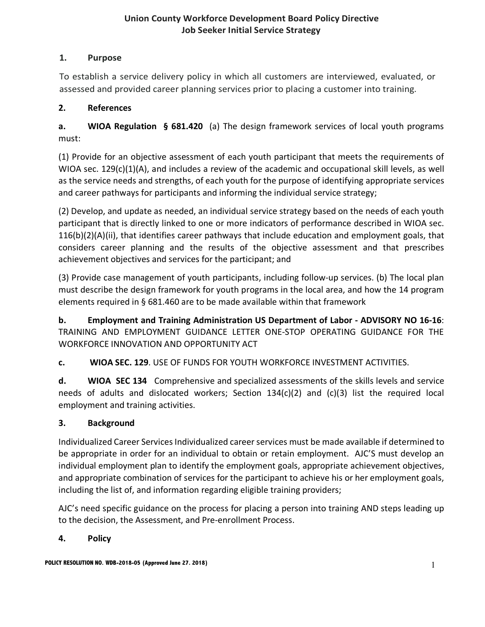# **1. Purpose**

To establish a service delivery policy in which all customers are interviewed, evaluated, or assessed and provided career planning services prior to placing a customer into training.

# **2. References**

**a. WIOA Regulation § 681.420** (a) The design framework services of local youth programs must:

(1) Provide for an objective assessment of each youth participant that meets the requirements of WIOA sec. 129(c)(1)(A), and includes a review of the academic and occupational skill levels, as well as the service needs and strengths, of each youth for the purpose of identifying appropriate services and career pathways for participants and informing the individual service strategy;

(2) Develop, and update as needed, an individual service strategy based on the needs of each youth participant that is directly linked to one or more indicators of performance described in WIOA sec.  $116(b)(2)(A)(ii)$ , that identifies career pathways that include education and employment goals, that considers career planning and the results of the objective assessment and that prescribes achievement objectives and services for the participant; and

(3) Provide case management of youth participants, including follow-up services. (b) The local plan must describe the design framework for youth programs in the local area, and how the 14 program elements required in § 681.460 are to be made available within that framework

**b. Employment and Training Administration US Department of Labor - ADVISORY NO 16-16**: TRAINING AND EMPLOYMENT GUIDANCE LETTER ONE-STOP OPERATING GUIDANCE FOR THE WORKFORCE INNOVATION AND OPPORTUNITY ACT

**c. WIOA SEC. 129**. USE OF FUNDS FOR YOUTH WORKFORCE INVESTMENT ACTIVITIES.

**d. WIOA SEC 134** Comprehensive and specialized assessments of the skills levels and service needs of adults and dislocated workers; Section 134(c)(2) and (c)(3) list the required local employment and training activities.

# **3. Background**

Individualized Career Services Individualized career services must be made available if determined to be appropriate in order for an individual to obtain or retain employment. AJC'S must develop an individual employment plan to identify the employment goals, appropriate achievement objectives, and appropriate combination of services for the participant to achieve his or her employment goals, including the list of, and information regarding eligible training providers;

AJC's need specific guidance on the process for placing a person into training AND steps leading up to the decision, the Assessment, and Pre-enrollment Process.

# **4. Policy**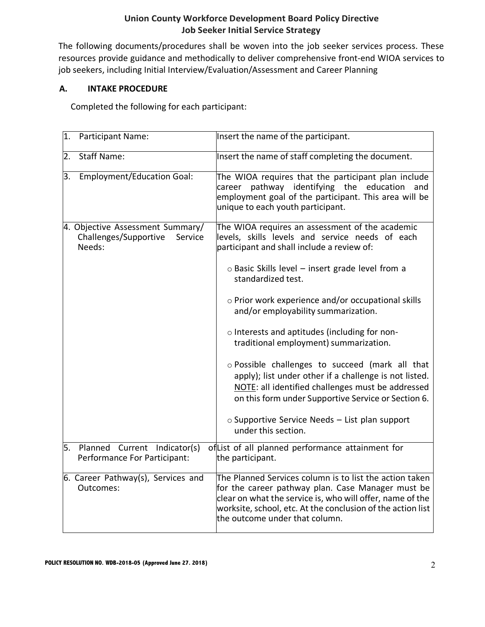The following documents/procedures shall be woven into the job seeker services process. These resources provide guidance and methodically to deliver comprehensive front-end WIOA services to job seekers, including Initial Interview/Evaluation/Assessment and Career Planning

# **A. INTAKE PROCEDURE**

Completed the following for each participant:

| 1. | Participant Name:                                                              | Insert the name of the participant.                                                                                                                                                                                                                                        |  |  |
|----|--------------------------------------------------------------------------------|----------------------------------------------------------------------------------------------------------------------------------------------------------------------------------------------------------------------------------------------------------------------------|--|--|
| 2. | <b>Staff Name:</b>                                                             | Insert the name of staff completing the document.                                                                                                                                                                                                                          |  |  |
| 3. | <b>Employment/Education Goal:</b>                                              | The WIOA requires that the participant plan include<br>career pathway identifying the education<br>and<br>employment goal of the participant. This area will be<br>unique to each youth participant.                                                                       |  |  |
|    | 4. Objective Assessment Summary/<br>Challenges/Supportive<br>Service<br>Needs: | The WIOA requires an assessment of the academic<br>levels, skills levels and service needs of each<br>participant and shall include a review of:                                                                                                                           |  |  |
|    |                                                                                | o Basic Skills level - insert grade level from a<br>standardized test.                                                                                                                                                                                                     |  |  |
|    |                                                                                | o Prior work experience and/or occupational skills<br>and/or employability summarization.                                                                                                                                                                                  |  |  |
|    |                                                                                | o Interests and aptitudes (including for non-<br>traditional employment) summarization.                                                                                                                                                                                    |  |  |
|    |                                                                                | o Possible challenges to succeed (mark all that<br>apply); list under other if a challenge is not listed.<br>NOTE: all identified challenges must be addressed<br>on this form under Supportive Service or Section 6.                                                      |  |  |
|    |                                                                                | $\circ$ Supportive Service Needs – List plan support<br>under this section.                                                                                                                                                                                                |  |  |
|    | 5. Planned Current Indicator(s)<br>Performance For Participant:                | ofList of all planned performance attainment for<br>the participant.                                                                                                                                                                                                       |  |  |
|    | 6. Career Pathway(s), Services and<br>Outcomes:                                | The Planned Services column is to list the action taken<br>for the career pathway plan. Case Manager must be<br>clear on what the service is, who will offer, name of the<br>worksite, school, etc. At the conclusion of the action list<br>the outcome under that column. |  |  |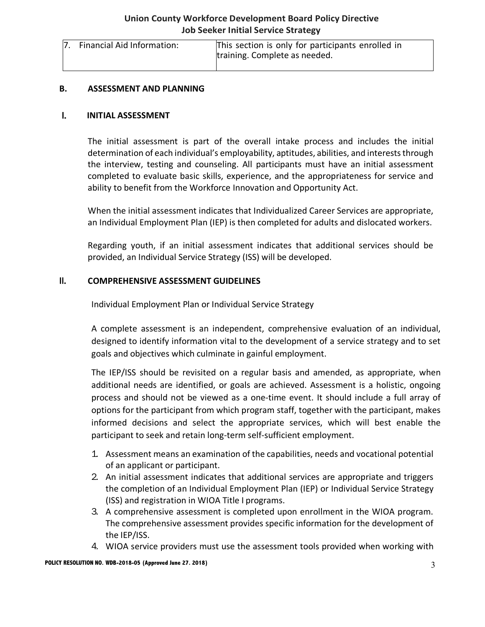| Financial Aid Information: | This section is only for participants enrolled in<br>training. Complete as needed. |
|----------------------------|------------------------------------------------------------------------------------|
|                            |                                                                                    |

#### **B. ASSESSMENT AND PLANNING**

#### I. **INITIAL ASSESSMENT**

The initial assessment is part of the overall intake process and includes the initial determination of each individual's employability, aptitudes, abilities, and interests through the interview, testing and counseling. All participants must have an initial assessment completed to evaluate basic skills, experience, and the appropriateness for service and ability to benefit from the Workforce Innovation and Opportunity Act.

When the initial assessment indicates that Individualized Career Services are appropriate, an Individual Employment Plan (IEP) is then completed for adults and dislocated workers.

Regarding youth, if an initial assessment indicates that additional services should be provided, an Individual Service Strategy (ISS) will be developed.

#### II. **COMPREHENSIVE ASSESSMENT GUIDELINES**

Individual Employment Plan or Individual Service Strategy

A complete assessment is an independent, comprehensive evaluation of an individual, designed to identify information vital to the development of a service strategy and to set goals and objectives which culminate in gainful employment.

The IEP/ISS should be revisited on a regular basis and amended, as appropriate, when additional needs are identified, or goals are achieved. Assessment is a holistic, ongoing process and should not be viewed as a one-time event. It should include a full array of options for the participant from which program staff, together with the participant, makes informed decisions and select the appropriate services, which will best enable the participant to seek and retain long-term self-sufficient employment.

- 1. Assessment means an examination of the capabilities, needs and vocational potential of an applicant or participant.
- 2. An initial assessment indicates that additional services are appropriate and triggers the completion of an Individual Employment Plan (IEP) or Individual Service Strategy (ISS) and registration in WIOA Title I programs.
- 3. A comprehensive assessment is completed upon enrollment in the WIOA program. The comprehensive assessment provides specific information for the development of the IEP/ISS.
- 4. WIOA service providers must use the assessment tools provided when working with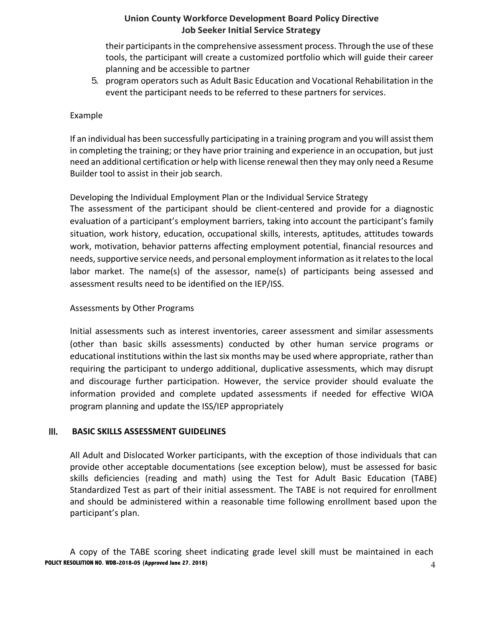their participants in the comprehensive assessment process. Through the use of these tools, the participant will create a customized portfolio which will guide their career planning and be accessible to partner

5. program operators such as Adult Basic Education and Vocational Rehabilitation in the event the participant needs to be referred to these partners for services.

### Example

If an individual has been successfully participating in a training program and you will assist them in completing the training; or they have prior training and experience in an occupation, but just need an additional certification or help with license renewal then they may only need a Resume Builder tool to assist in their job search.

Developing the Individual Employment Plan or the Individual Service Strategy

The assessment of the participant should be client-centered and provide for a diagnostic evaluation of a participant's employment barriers, taking into account the participant's family situation, work history, education, occupational skills, interests, aptitudes, attitudes towards work, motivation, behavior patterns affecting employment potential, financial resources and needs, supportive service needs, and personal employment information as it relates to the local labor market. The name(s) of the assessor, name(s) of participants being assessed and assessment results need to be identified on the IEP/ISS.

#### Assessments by Other Programs

Initial assessments such as interest inventories, career assessment and similar assessments (other than basic skills assessments) conducted by other human service programs or educational institutions within the last six months may be used where appropriate, rather than requiring the participant to undergo additional, duplicative assessments, which may disrupt and discourage further participation. However, the service provider should evaluate the information provided and complete updated assessments if needed for effective WIOA program planning and update the ISS/IEP appropriately

#### III. **BASIC SKILLS ASSESSMENT GUIDELINES**

All Adult and Dislocated Worker participants, with the exception of those individuals that can provide other acceptable documentations (see exception below), must be assessed for basic skills deficiencies (reading and math) using the Test for Adult Basic Education (TABE) Standardized Test as part of their initial assessment. The TABE is not required for enrollment and should be administered within a reasonable time following enrollment based upon the participant's plan.

**POLICY RESOLUTION NO. WDB-2018-05 (Approved June 27. 2018)** 4 A copy of the TABE scoring sheet indicating grade level skill must be maintained in each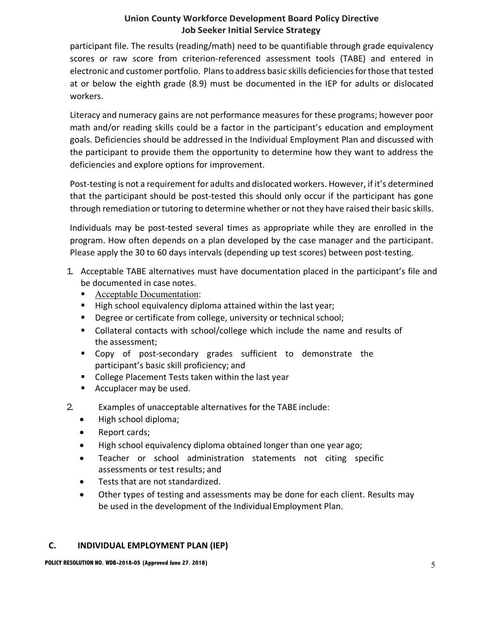participant file. The results (reading/math) need to be quantifiable through grade equivalency scores or raw score from criterion-referenced assessment tools (TABE) and entered in electronic and customer portfolio. Plans to address basic skills deficiencies for those that tested at or below the eighth grade (8.9) must be documented in the IEP for adults or dislocated workers.

Literacy and numeracy gains are not performance measures for these programs; however poor math and/or reading skills could be a factor in the participant's education and employment goals. Deficiencies should be addressed in the Individual Employment Plan and discussed with the participant to provide them the opportunity to determine how they want to address the deficiencies and explore options for improvement.

Post-testing is not a requirement for adults and dislocated workers. However, if it's determined that the participant should be post-tested this should only occur if the participant has gone through remediation or tutoring to determine whether or not they have raised their basic skills.

Individuals may be post-tested several times as appropriate while they are enrolled in the program. How often depends on a plan developed by the case manager and the participant. Please apply the 30 to 60 days intervals (depending up test scores) between post-testing.

- 1. Acceptable TABE alternatives must have documentation placed in the participant's file and be documented in case notes.
	- § Acceptable Documentation:
	- High school equivalency diploma attained within the last year;
	- Degree or certificate from college, university or technical school;
	- § Collateral contacts with school/college which include the name and results of the assessment;
	- Copy of post-secondary grades sufficient to demonstrate the participant's basic skill proficiency; and
	- College Placement Tests taken within the last year
	- Accuplacer may be used.
- 2. Examples of unacceptable alternatives for the TABE include:
	- High school diploma;
	- Report cards;
	- High school equivalency diploma obtained longer than one year ago;
	- Teacher or school administration statements not citing specific assessments or test results; and
	- Tests that are not standardized.
	- Other types of testing and assessments may be done for each client. Results may be used in the development of the Individual Employment Plan.

# **C. INDIVIDUAL EMPLOYMENT PLAN (IEP)**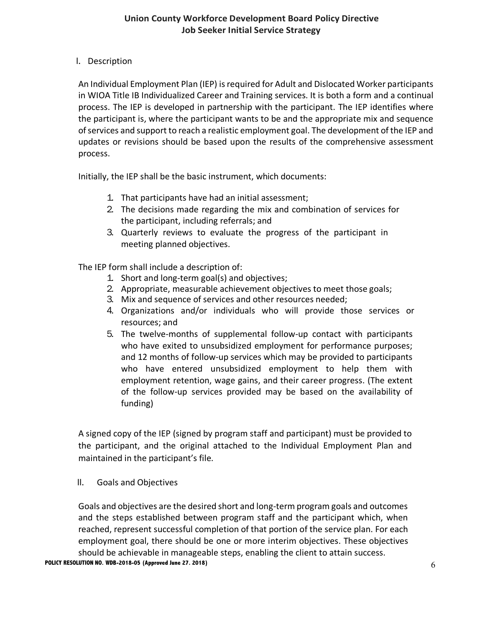# I. Description

An Individual Employment Plan (IEP) is required for Adult and Dislocated Worker participants in WIOA Title IB Individualized Career and Training services. It is both a form and a continual process. The IEP is developed in partnership with the participant. The IEP identifies where the participant is, where the participant wants to be and the appropriate mix and sequence of services and support to reach a realistic employment goal. The development of the IEP and updates or revisions should be based upon the results of the comprehensive assessment process.

Initially, the IEP shall be the basic instrument, which documents:

- 1. That participants have had an initial assessment;
- 2. The decisions made regarding the mix and combination of services for the participant, including referrals; and
- 3. Quarterly reviews to evaluate the progress of the participant in meeting planned objectives.

The IEP form shall include a description of:

- 1. Short and long-term goal(s) and objectives;
- 2. Appropriate, measurable achievement objectives to meet those goals;
- 3. Mix and sequence of services and other resources needed;
- 4. Organizations and/or individuals who will provide those services or resources; and
- 5. The twelve-months of supplemental follow-up contact with participants who have exited to unsubsidized employment for performance purposes; and 12 months of follow-up services which may be provided to participants who have entered unsubsidized employment to help them with employment retention, wage gains, and their career progress. (The extent of the follow-up services provided may be based on the availability of funding)

A signed copy of the IEP (signed by program staff and participant) must be provided to the participant, and the original attached to the Individual Employment Plan and maintained in the participant's file.

II. Goals and Objectives

Goals and objectives are the desired short and long-term program goals and outcomes and the steps established between program staff and the participant which, when reached, represent successful completion of that portion of the service plan. For each employment goal, there should be one or more interim objectives. These objectives should be achievable in manageable steps, enabling the client to attain success.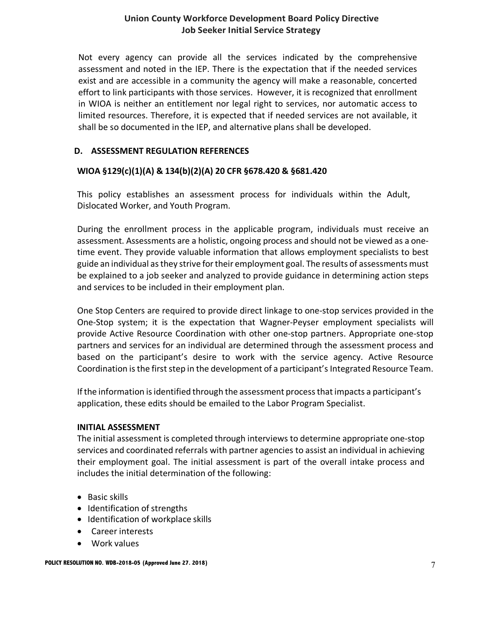Not every agency can provide all the services indicated by the comprehensive assessment and noted in the IEP. There is the expectation that if the needed services exist and are accessible in a community the agency will make a reasonable, concerted effort to link participants with those services. However, it is recognized that enrollment in WIOA is neither an entitlement nor legal right to services, nor automatic access to limited resources. Therefore, it is expected that if needed services are not available, it shall be so documented in the IEP, and alternative plans shall be developed.

# **D. ASSESSMENT REGULATION REFERENCES**

# **WIOA §129(c)(1)(A) & 134(b)(2)(A) 20 CFR §678.420 & §681.420**

This policy establishes an assessment process for individuals within the Adult, Dislocated Worker, and Youth Program.

During the enrollment process in the applicable program, individuals must receive an assessment. Assessments are a holistic, ongoing process and should not be viewed as a onetime event. They provide valuable information that allows employment specialists to best guide an individual as they strive for their employment goal. The results of assessments must be explained to a job seeker and analyzed to provide guidance in determining action steps and services to be included in their employment plan.

One Stop Centers are required to provide direct linkage to one-stop services provided in the One-Stop system; it is the expectation that Wagner-Peyser employment specialists will provide Active Resource Coordination with other one-stop partners. Appropriate one-stop partners and services for an individual are determined through the assessment process and based on the participant's desire to work with the service agency. Active Resource Coordination is the first step in the development of a participant's Integrated Resource Team.

If the information is identified through the assessment process that impacts a participant's application, these edits should be emailed to the Labor Program Specialist.

#### **INITIAL ASSESSMENT**

The initial assessment is completed through interviews to determine appropriate one-stop services and coordinated referrals with partner agencies to assist an individual in achieving their employment goal. The initial assessment is part of the overall intake process and includes the initial determination of the following:

- Basic skills
- Identification of strengths
- Identification of workplace skills
- Career interests
- Work values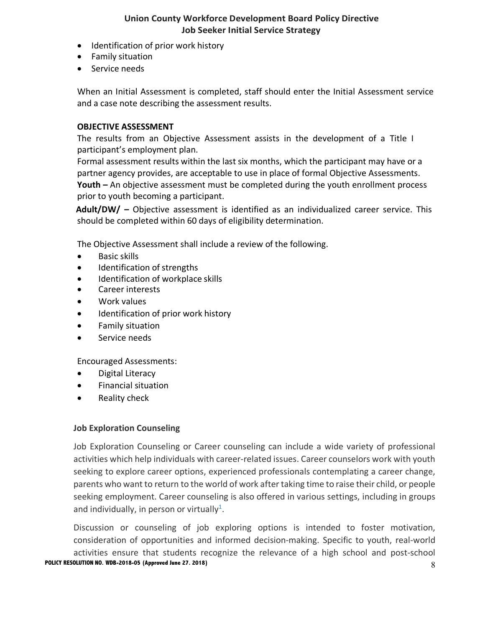- Identification of prior work history
- Family situation
- Service needs

When an Initial Assessment is completed, staff should enter the Initial Assessment service and a case note describing the assessment results.

#### **OBJECTIVE ASSESSMENT**

The results from an Objective Assessment assists in the development of a Title I participant's employment plan.

Formal assessment results within the last six months, which the participant may have or a partner agency provides, are acceptable to use in place of formal Objective Assessments. **Youth –** An objective assessment must be completed during the youth enrollment process prior to youth becoming a participant.

**Adult/DW/ –** Objective assessment is identified as an individualized career service. This should be completed within 60 days of eligibility determination.

The Objective Assessment shall include a review of the following.

- Basic skills
- Identification of strengths
- Identification of workplace skills
- Career interests
- Work values
- Identification of prior work history
- Family situation
- Service needs

Encouraged Assessments:

- Digital Literacy
- Financial situation
- Reality check

#### **Job Exploration Counseling**

Job Exploration Counseling or Career counseling can include a wide variety of professional activities which help individuals with career-related issues. Career counselors work with youth seeking to explore career options, experienced professionals contemplating a career change, parents who want to return to the world of work after taking time to raise their child, or people seeking employment. Career counseling is also offered in various settings, including in groups and individually, in person or virtually<sup>1</sup>.

**POLICY RESOLUTION NO. WDB-2018-05 (Approved June 27. 2018)** 8 Discussion or counseling of job exploring options is intended to foster motivation, consideration of opportunities and informed decision-making. Specific to youth, real-world activities ensure that students recognize the relevance of a high school and post-school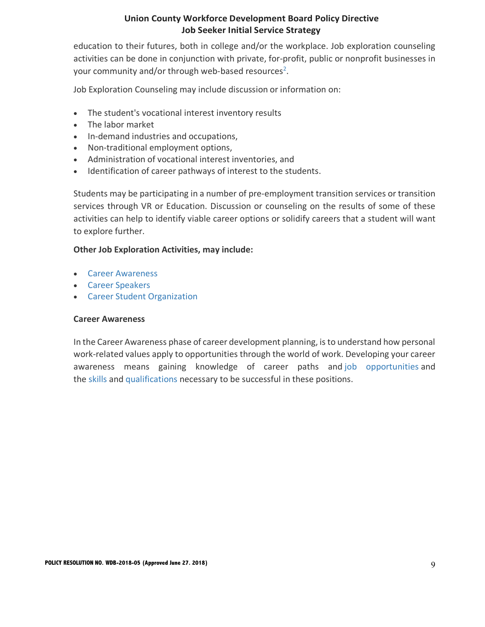education to their futures, both in college and/or the workplace. Job exploration counseling activities can be done in conjunction with private, for-profit, public or nonprofit businesses in your community and/or through web-based resources<sup>2</sup>.

Job Exploration Counseling may include discussion or information on:

- The student's vocational interest inventory results
- The labor market
- In-demand industries and occupations,
- Non-traditional employment options,
- Administration of vocational interest inventories, and
- Identification of career pathways of interest to the students.

Students may be participating in a number of pre-employment transition services or transition services through VR or Education. Discussion or counseling on the results of some of these activities can help to identify viable career options or solidify careers that a student will want to explore further.

#### **Other Job Exploration Activities, may include:**

- Career Awareness
- Career Speakers
- Career Student Organization

#### **Career Awareness**

In the Career Awareness phase of career development planning, is to understand how personal work-related values apply to opportunities through the world of work. Developing your career awareness means gaining knowledge of career paths and job opportunities and the skills and qualifications necessary to be successful in these positions.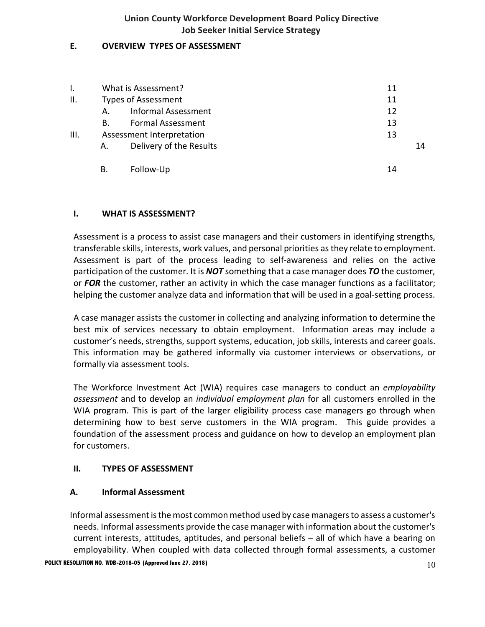## **E. OVERVIEW TYPES OF ASSESSMENT**

|      | What is Assessment?        |                            | 11 |
|------|----------------------------|----------------------------|----|
| ΙΙ.  | <b>Types of Assessment</b> |                            | 11 |
|      | А.                         | <b>Informal Assessment</b> | 12 |
|      | В.                         | <b>Formal Assessment</b>   | 13 |
| III. | Assessment Interpretation  |                            | 13 |
|      | А.                         | Delivery of the Results    | 14 |
|      | В.                         | Follow-Up                  | 14 |

# **I. WHAT IS ASSESSMENT?**

Assessment is a process to assist case managers and their customers in identifying strengths, transferable skills, interests, work values, and personal priorities as they relate to employment. Assessment is part of the process leading to self-awareness and relies on the active participation of the customer. It is *NOT* something that a case manager does *TO* the customer, or *FOR* the customer, rather an activity in which the case manager functions as a facilitator; helping the customer analyze data and information that will be used in a goal-setting process.

A case manager assists the customer in collecting and analyzing information to determine the best mix of services necessary to obtain employment. Information areas may include a customer's needs, strengths, support systems, education, job skills, interests and career goals. This information may be gathered informally via customer interviews or observations, or formally via assessment tools.

The Workforce Investment Act (WIA) requires case managers to conduct an *employability assessment* and to develop an *individual employment plan* for all customers enrolled in the WIA program. This is part of the larger eligibility process case managers go through when determining how to best serve customers in the WIA program. This guide provides a foundation of the assessment process and guidance on how to develop an employment plan for customers.

#### **II. TYPES OF ASSESSMENT**

#### **A. Informal Assessment**

Informal assessment is the most common method used by case managers to assess a customer's needs. Informal assessments provide the case manager with information about the customer's current interests, attitudes, aptitudes, and personal beliefs – all of which have a bearing on employability. When coupled with data collected through formal assessments, a customer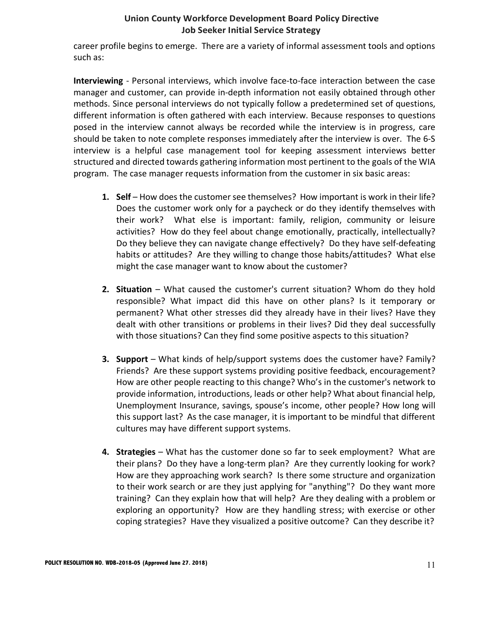career profile begins to emerge. There are a variety of informal assessment tools and options such as:

**Interviewing** - Personal interviews, which involve face-to-face interaction between the case manager and customer, can provide in-depth information not easily obtained through other methods. Since personal interviews do not typically follow a predetermined set of questions, different information is often gathered with each interview. Because responses to questions posed in the interview cannot always be recorded while the interview is in progress, care should be taken to note complete responses immediately after the interview is over. The 6-S interview is a helpful case management tool for keeping assessment interviews better structured and directed towards gathering information most pertinent to the goals of the WIA program. The case manager requests information from the customer in six basic areas:

- **1. Self** How does the customer see themselves? How important is work in their life? Does the customer work only for a paycheck or do they identify themselves with their work? What else is important: family, religion, community or leisure activities? How do they feel about change emotionally, practically, intellectually? Do they believe they can navigate change effectively? Do they have self-defeating habits or attitudes? Are they willing to change those habits/attitudes? What else might the case manager want to know about the customer?
- **2. Situation** What caused the customer's current situation? Whom do they hold responsible? What impact did this have on other plans? Is it temporary or permanent? What other stresses did they already have in their lives? Have they dealt with other transitions or problems in their lives? Did they deal successfully with those situations? Can they find some positive aspects to this situation?
- **3. Support**  What kinds of help/support systems does the customer have? Family? Friends? Are these support systems providing positive feedback, encouragement? How are other people reacting to this change? Who's in the customer's network to provide information, introductions, leads or other help? What about financial help, Unemployment Insurance, savings, spouse's income, other people? How long will this support last? As the case manager, it is important to be mindful that different cultures may have different support systems.
- **4. Strategies** What has the customer done so far to seek employment? What are their plans? Do they have a long-term plan? Are they currently looking for work? How are they approaching work search? Is there some structure and organization to their work search or are they just applying for "anything"? Do they want more training? Can they explain how that will help? Are they dealing with a problem or exploring an opportunity? How are they handling stress; with exercise or other coping strategies? Have they visualized a positive outcome? Can they describe it?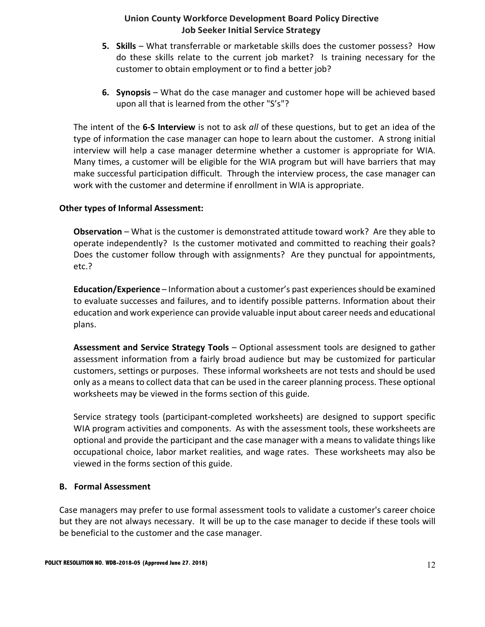- **5. Skills** What transferrable or marketable skills does the customer possess? How do these skills relate to the current job market? Is training necessary for the customer to obtain employment or to find a better job?
- **6. Synopsis** What do the case manager and customer hope will be achieved based upon all that is learned from the other "S's"?

The intent of the **6-S Interview** is not to ask *all* of these questions, but to get an idea of the type of information the case manager can hope to learn about the customer. A strong initial interview will help a case manager determine whether a customer is appropriate for WIA. Many times, a customer will be eligible for the WIA program but will have barriers that may make successful participation difficult. Through the interview process, the case manager can work with the customer and determine if enrollment in WIA is appropriate.

### **Other types of Informal Assessment:**

**Observation** – What is the customer is demonstrated attitude toward work? Are they able to operate independently? Is the customer motivated and committed to reaching their goals? Does the customer follow through with assignments? Are they punctual for appointments, etc.?

**Education/Experience** – Information about a customer's past experiences should be examined to evaluate successes and failures, and to identify possible patterns. Information about their education and work experience can provide valuable input about career needs and educational plans.

**Assessment and Service Strategy Tools** – Optional assessment tools are designed to gather assessment information from a fairly broad audience but may be customized for particular customers, settings or purposes. These informal worksheets are not tests and should be used only as a means to collect data that can be used in the career planning process. These optional worksheets may be viewed in the forms section of this guide.

Service strategy tools (participant-completed worksheets) are designed to support specific WIA program activities and components. As with the assessment tools, these worksheets are optional and provide the participant and the case manager with a means to validate things like occupational choice, labor market realities, and wage rates. These worksheets may also be viewed in the forms section of this guide.

# **B. Formal Assessment**

Case managers may prefer to use formal assessment tools to validate a customer's career choice but they are not always necessary. It will be up to the case manager to decide if these tools will be beneficial to the customer and the case manager.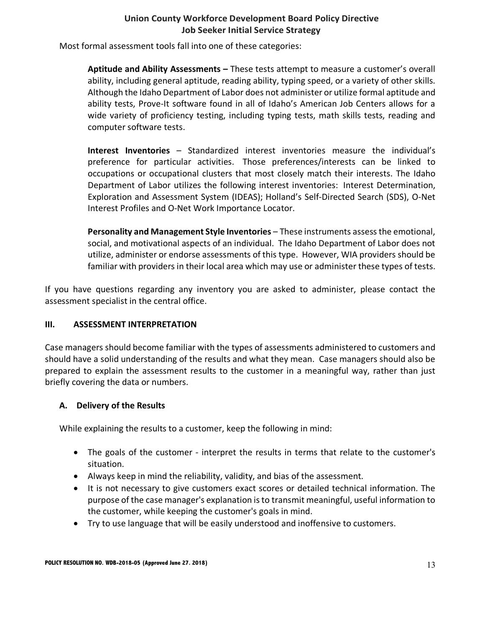Most formal assessment tools fall into one of these categories:

**Aptitude and Ability Assessments –** These tests attempt to measure a customer's overall ability, including general aptitude, reading ability, typing speed, or a variety of other skills. Although the Idaho Department of Labor does not administer or utilize formal aptitude and ability tests, Prove-It software found in all of Idaho's American Job Centers allows for a wide variety of proficiency testing, including typing tests, math skills tests, reading and computer software tests.

**Interest Inventories** – Standardized interest inventories measure the individual's preference for particular activities. Those preferences/interests can be linked to occupations or occupational clusters that most closely match their interests. The Idaho Department of Labor utilizes the following interest inventories: Interest Determination, Exploration and Assessment System (IDEAS); Holland's Self-Directed Search (SDS), O-Net Interest Profiles and O-Net Work Importance Locator.

**Personality and Management Style Inventories** – These instruments assess the emotional, social, and motivational aspects of an individual. The Idaho Department of Labor does not utilize, administer or endorse assessments of this type. However, WIA providers should be familiar with providers in their local area which may use or administer these types of tests.

If you have questions regarding any inventory you are asked to administer, please contact the assessment specialist in the central office.

# **III. ASSESSMENT INTERPRETATION**

Case managers should become familiar with the types of assessments administered to customers and should have a solid understanding of the results and what they mean. Case managers should also be prepared to explain the assessment results to the customer in a meaningful way, rather than just briefly covering the data or numbers.

# **A. Delivery of the Results**

While explaining the results to a customer, keep the following in mind:

- The goals of the customer interpret the results in terms that relate to the customer's situation.
- Always keep in mind the reliability, validity, and bias of the assessment.
- It is not necessary to give customers exact scores or detailed technical information. The purpose of the case manager's explanation is to transmit meaningful, useful information to the customer, while keeping the customer's goals in mind.
- Try to use language that will be easily understood and inoffensive to customers.